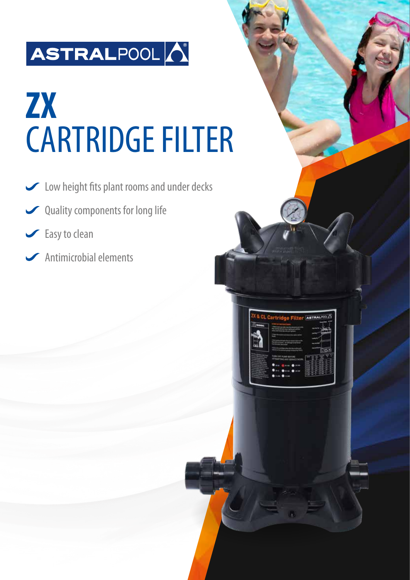## ASTRALPOOL

# **ZX**  CARTRIDGE FILTER

- Low height fits plant rooms and under decks
- Quality components for long life
- Grass to clean
- Antimicrobial elements